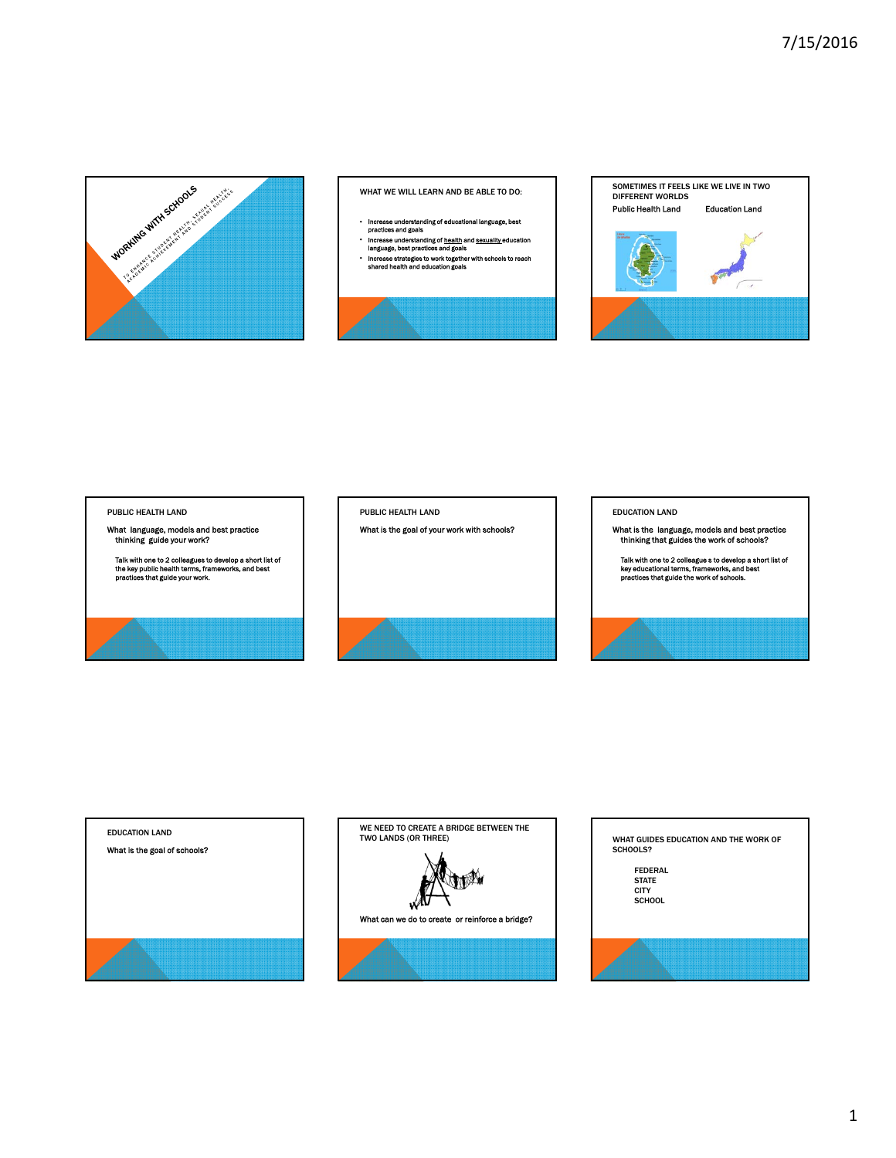

WHAT WE WILL LEARN AND BE ABLE TO DO:

- 
- Increase understanding of educational language, best practices and goals
- Increase understanding of health and sexuality education language, best practices and goals • Increase strategies to work together with schools to reach shared health and education goals
- 
- 



#### PUBLIC HEALTH LAND

What language, models and best practice thinking guide your work?

Talk with one to 2 colleagues to develop a short list of the key public health terms, frameworks, and best practices that guide your work.



PUBLIC HEALTH LAND

### EDUCATION LAND

What is the language, models and best practice thinking that guides the work of schools?

Talk with one to 2 colleague s to develop a short list of key educational terms, frameworks, and best practices that guide the work of schools.



# EDUCATION LAND What is the goal of schools?

WE NEED TO CREATE A BRIDGE BETWEEN THE TWO LANDS (OR THREE)

W

What can we do to create or reinforce a bridge?



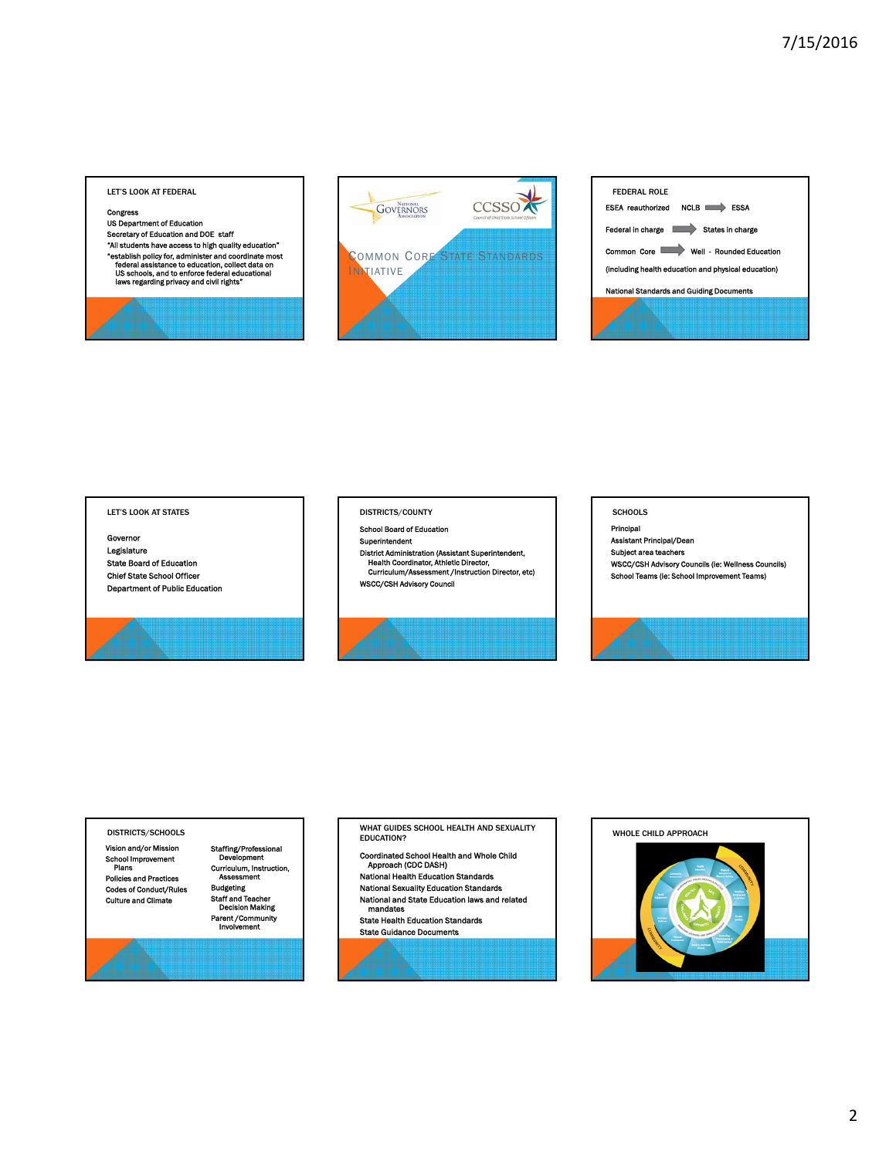#### LET'S LOOK AT FEDERAL

#### Congress

US Department of Education

Secretary of Education and DOE staff "All students have access to high quality education"<br>"establish policy for, administer and coordinate most<br>"federal assistance to education, collect data on<br>US schools, and to enforce federal educational<br>laws regarding pri



| <b>FEDERAL ROLE</b>                                    |
|--------------------------------------------------------|
| <b>NCLB</b><br><b>ESEA</b> reauthorized<br><b>ESSA</b> |
| States in charge<br>Federal in charge                  |
| Well Rounded Education<br>Common Core                  |
| (including health education and physical education)    |
| <b>National Standards and Guiding Documents</b>        |
|                                                        |
|                                                        |
|                                                        |

#### LET'S LOOK AT STATES

Governor Legislature State Board of Education Chief State School Officer Department of Public Education

#### DISTRICTS/COUNTY

School Board of Education Superintendent

District Administration (Assistant Superintendent, Health Coordinator, Athletic Director, Curriculum/Assessment /Instruction Director, etc) WSCC/CSH Advisory Council



#### SCHOOLS

Principal Assistant Principal/Dean Subject area teachers WSCC/CSH Advisory Councils (ie: Wellness Councils) School Teams (ie: School Improvement Teams)



Vision and/or Mission School Improvement Plans Policies and Practices Codes of Conduct/Rules Culture and Climate

Staffing/Professional Development Curriculum, Instruction, Assessment Budgeting Staff and Teacher Decision Making Parent /Community Involvement

DISTRICTS/SCHOOLS **DISTRICTS** SCHOOL HEALTH AND SEXUALITY EDUCATION?

- Coordinated School Health and Whole Child Approach (CDC DASH)
- National Health Education Standards National Sexuality Education Standards National and State Education laws and related
- mandates State Health Education Standards

State Guidance Documents